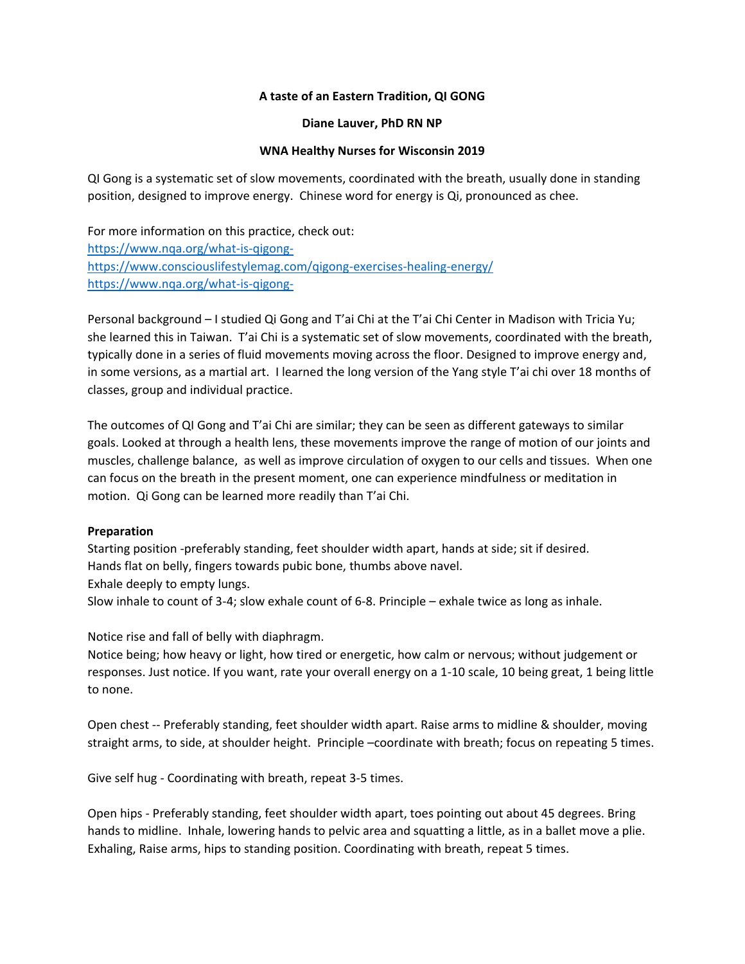# **A taste of an Eastern Tradition, QI GONG**

#### **Diane Lauver, PhD RN NP**

#### **WNA Healthy Nurses for Wisconsin 2019**

QI Gong is a systematic set of slow movements, coordinated with the breath, usually done in standing position, designed to improve energy. Chinese word for energy is Qi, pronounced as chee.

For more information on this practice, check out: [https://www.nqa.org/what-is-qigong](https://www.nqa.org/what-is-qigong-)<https://www.consciouslifestylemag.com/qigong-exercises-healing-energy/> <https://www.nqa.org/what-is-qigong->

Personal background – I studied Qi Gong and T'ai Chi at the T'ai Chi Center in Madison with Tricia Yu; she learned this in Taiwan. T'ai Chi is a systematic set of slow movements, coordinated with the breath, typically done in a series of fluid movements moving across the floor. Designed to improve energy and, in some versions, as a martial art. I learned the long version of the Yang style T'ai chi over 18 months of classes, group and individual practice.

The outcomes of QI Gong and T'ai Chi are similar; they can be seen as different gateways to similar goals. Looked at through a health lens, these movements improve the range of motion of our joints and muscles, challenge balance, as well as improve circulation of oxygen to our cells and tissues. When one can focus on the breath in the present moment, one can experience mindfulness or meditation in motion. Qi Gong can be learned more readily than T'ai Chi.

#### **Preparation**

Starting position -preferably standing, feet shoulder width apart, hands at side; sit if desired. Hands flat on belly, fingers towards pubic bone, thumbs above navel.

Exhale deeply to empty lungs.

Slow inhale to count of 3-4; slow exhale count of 6-8. Principle – exhale twice as long as inhale.

Notice rise and fall of belly with diaphragm.

Notice being; how heavy or light, how tired or energetic, how calm or nervous; without judgement or responses. Just notice. If you want, rate your overall energy on a 1-10 scale, 10 being great, 1 being little to none.

Open chest -- Preferably standing, feet shoulder width apart. Raise arms to midline & shoulder, moving straight arms, to side, at shoulder height. Principle –coordinate with breath; focus on repeating 5 times.

Give self hug - Coordinating with breath, repeat 3-5 times.

Open hips - Preferably standing, feet shoulder width apart, toes pointing out about 45 degrees. Bring hands to midline. Inhale, lowering hands to pelvic area and squatting a little, as in a ballet move a plie. Exhaling, Raise arms, hips to standing position. Coordinating with breath, repeat 5 times.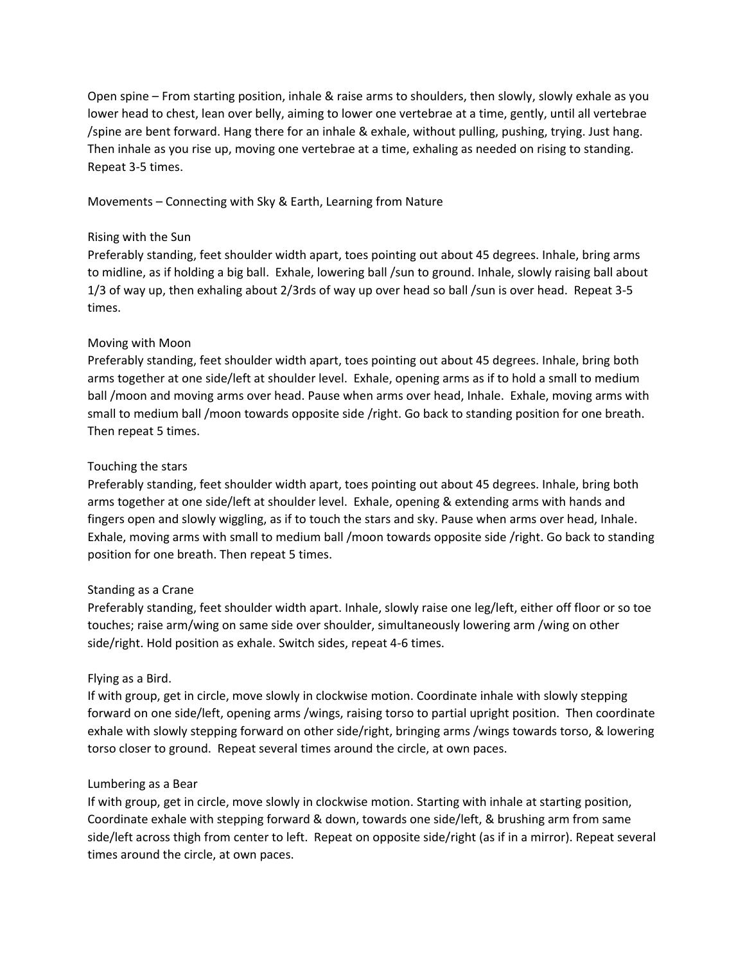Open spine – From starting position, inhale & raise arms to shoulders, then slowly, slowly exhale as you lower head to chest, lean over belly, aiming to lower one vertebrae at a time, gently, until all vertebrae /spine are bent forward. Hang there for an inhale & exhale, without pulling, pushing, trying. Just hang. Then inhale as you rise up, moving one vertebrae at a time, exhaling as needed on rising to standing. Repeat 3-5 times.

Movements – Connecting with Sky & Earth, Learning from Nature

#### Rising with the Sun

Preferably standing, feet shoulder width apart, toes pointing out about 45 degrees. Inhale, bring arms to midline, as if holding a big ball. Exhale, lowering ball /sun to ground. Inhale, slowly raising ball about 1/3 of way up, then exhaling about 2/3rds of way up over head so ball /sun is over head. Repeat 3-5 times.

# Moving with Moon

Preferably standing, feet shoulder width apart, toes pointing out about 45 degrees. Inhale, bring both arms together at one side/left at shoulder level. Exhale, opening arms as if to hold a small to medium ball /moon and moving arms over head. Pause when arms over head, Inhale. Exhale, moving arms with small to medium ball /moon towards opposite side /right. Go back to standing position for one breath. Then repeat 5 times.

# Touching the stars

Preferably standing, feet shoulder width apart, toes pointing out about 45 degrees. Inhale, bring both arms together at one side/left at shoulder level. Exhale, opening & extending arms with hands and fingers open and slowly wiggling, as if to touch the stars and sky. Pause when arms over head, Inhale. Exhale, moving arms with small to medium ball /moon towards opposite side /right. Go back to standing position for one breath. Then repeat 5 times.

# Standing as a Crane

Preferably standing, feet shoulder width apart. Inhale, slowly raise one leg/left, either off floor or so toe touches; raise arm/wing on same side over shoulder, simultaneously lowering arm /wing on other side/right. Hold position as exhale. Switch sides, repeat 4-6 times.

# Flying as a Bird.

If with group, get in circle, move slowly in clockwise motion. Coordinate inhale with slowly stepping forward on one side/left, opening arms /wings, raising torso to partial upright position. Then coordinate exhale with slowly stepping forward on other side/right, bringing arms /wings towards torso, & lowering torso closer to ground. Repeat several times around the circle, at own paces.

# Lumbering as a Bear

If with group, get in circle, move slowly in clockwise motion. Starting with inhale at starting position, Coordinate exhale with stepping forward & down, towards one side/left, & brushing arm from same side/left across thigh from center to left. Repeat on opposite side/right (as if in a mirror). Repeat several times around the circle, at own paces.